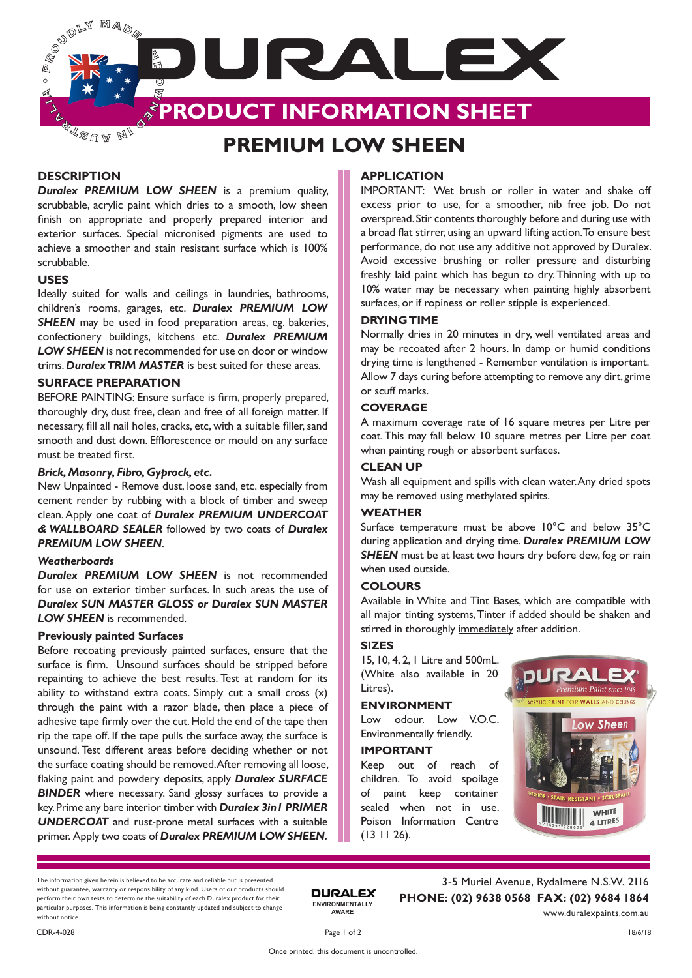**PROUDLY** Maq<sub>o</sub> JURALEX  $\sim$  $\mathcal{A}$ **PRODUCT INFORMATION SHEET**  $\Delta$ ∢sua M

# **PREMIUM LOW SHEEN**

# **DESCRIPTION**

*Duralex PREMIUM LOW SHEEN* is a premium quality, scrubbable, acrylic paint which dries to a smooth, low sheen finish on appropriate and properly prepared interior and exterior surfaces. Special micronised pigments are used to achieve a smoother and stain resistant surface which is 100% scrubbable.

# **USES**

Ideally suited for walls and ceilings in laundries, bathrooms, children's rooms, garages, etc. *Duralex PREMIUM LOW*  **SHEEN** may be used in food preparation areas, eg. bakeries, confectionery buildings, kitchens etc. *Duralex PREMIUM LOW SHEEN* is not recommended for use on door or window trims. *Duralex TRIM MASTER* is best suited for these areas.

# **SURFACE PREPARATION**

BEFORE PAINTING: Ensure surface is firm, properly prepared, thoroughly dry, dust free, clean and free of all foreign matter. If necessary, fill all nail holes, cracks, etc, with a suitable filler, sand smooth and dust down. Efflorescence or mould on any surface must be treated first.

# *Brick, Masonry, Fibro, Gyprock, etc.*

New Unpainted - Remove dust, loose sand, etc. especially from cement render by rubbing with a block of timber and sweep clean. Apply one coat of *Duralex PREMIUM UNDERCOAT & WALLBOARD SEALER* followed by two coats of *Duralex PREMIUM LOW SHEEN*.

#### *Weatherboards*

*Duralex PREMIUM LOW SHEEN* is not recommended for use on exterior timber surfaces. In such areas the use of *Duralex SUN MASTER GLOSS or Duralex SUN MASTER LOW SHEEN* is recommended.

#### **Previously painted Surfaces**

Before recoating previously painted surfaces, ensure that the surface is firm. Unsound surfaces should be stripped before repainting to achieve the best results. Test at random for its ability to withstand extra coats. Simply cut a small cross (x) through the paint with a razor blade, then place a piece of adhesive tape firmly over the cut. Hold the end of the tape then rip the tape off. If the tape pulls the surface away, the surface is unsound. Test different areas before deciding whether or not the surface coating should be removed. After removing all loose, flaking paint and powdery deposits, apply *Duralex SURFACE BINDER* where necessary. Sand glossy surfaces to provide a key. Prime any bare interior timber with *Duralex 3in1 PRIMER UNDERCOAT* and rust-prone metal surfaces with a suitable primer. Apply two coats of *Duralex PREMIUM LOW SHEEN.*

# **APPLICATION**

IMPORTANT: Wet brush or roller in water and shake off excess prior to use, for a smoother, nib free job. Do not overspread. Stir contents thoroughly before and during use with a broad flat stirrer, using an upward lifting action. To ensure best performance, do not use any additive not approved by Duralex. Avoid excessive brushing or roller pressure and disturbing freshly laid paint which has begun to dry. Thinning with up to 10% water may be necessary when painting highly absorbent surfaces, or if ropiness or roller stipple is experienced.

# **DRYING TIME**

Normally dries in 20 minutes in dry, well ventilated areas and may be recoated after 2 hours. In damp or humid conditions drying time is lengthened - Remember ventilation is important. Allow 7 days curing before attempting to remove any dirt, grime or scuff marks.

# **COVERAGE**

A maximum coverage rate of 16 square metres per Litre per coat. This may fall below 10 square metres per Litre per coat when painting rough or absorbent surfaces.

# **CLEAN UP**

Wash all equipment and spills with clean water. Any dried spots may be removed using methylated spirits.

#### **WEATHER**

Surface temperature must be above 10°C and below 35°C during application and drying time. *Duralex PREMIUM LOW*  **SHEEN** must be at least two hours dry before dew, fog or rain when used outside.

# **COLOURS**

Available in White and Tint Bases, which are compatible with all major tinting systems, Tinter if added should be shaken and stirred in thoroughly immediately after addition.

# **SIZES**

15, 10, 4, 2, 1 Litre and 500mL. (White also available in 20 Litres).

# **ENVIRONMENT**

Low odour. Low V.O.C. Environmentally friendly.

## **IMPORTANT**

Keep out of reach of children. To avoid spoilage of paint keep container sealed when not in use. Poison Information Centre (13 11 26).



The information given herein is believed to be accurate and reliable but is presented without guarantee, warranty or responsibility of any kind. Users of our products should perform their own tests to determine the suitability of each Duralex product for their particular purposes. This information is being constantly updated and subject to change without notice.

3-5 Muriel Avenue, Rydalmere N.S.W. 2116 **PHONE: (02) 9638 0568 FAX: (02) 9684 1864** www.duralexpaints.com.au

**ENVIRONMENTALLY AWARE**

**DURALEX**